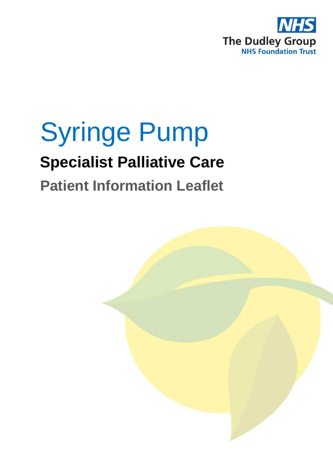

# Syringe Pump **Specialist Palliative Care**

## **Patient Information Leaflet**

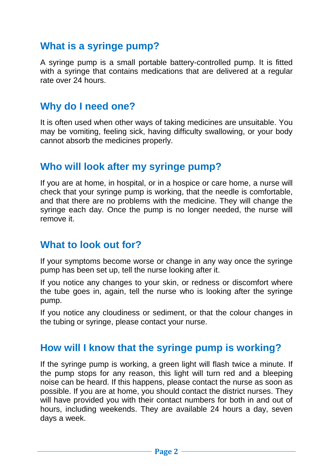### **What is a syringe pump?**

A syringe pump is a small portable battery-controlled pump. It is fitted with a syringe that contains medications that are delivered at a regular rate over 24 hours.

#### **Why do I need one?**

It is often used when other ways of taking medicines are unsuitable. You may be vomiting, feeling sick, having difficulty swallowing, or your body cannot absorb the medicines properly.

#### **Who will look after my syringe pump?**

If you are at home, in hospital, or in a hospice or care home, a nurse will check that your syringe pump is working, that the needle is comfortable, and that there are no problems with the medicine. They will change the syringe each day. Once the pump is no longer needed, the nurse will remove it.

#### **What to look out for?**

If your symptoms become worse or change in any way once the syringe pump has been set up, tell the nurse looking after it.

If you notice any changes to your skin, or redness or discomfort where the tube goes in, again, tell the nurse who is looking after the syringe pump.

If you notice any cloudiness or sediment, or that the colour changes in the tubing or syringe, please contact your nurse.

#### **How will I know that the syringe pump is working?**

If the syringe pump is working, a green light will flash twice a minute. If the pump stops for any reason, this light will turn red and a bleeping noise can be heard. If this happens, please contact the nurse as soon as possible. If you are at home, you should contact the district nurses. They will have provided you with their contact numbers for both in and out of hours, including weekends. They are available 24 hours a day, seven days a week.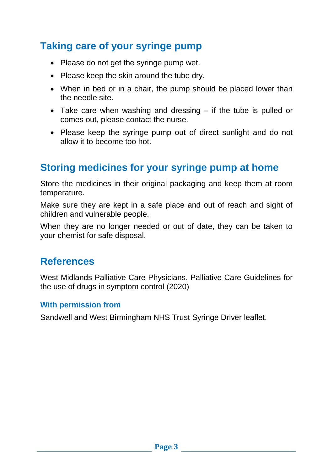## **Taking care of your syringe pump**

- Please do not get the syringe pump wet.
- Please keep the skin around the tube dry.
- When in bed or in a chair, the pump should be placed lower than the needle site.
- Take care when washing and dressing if the tube is pulled or comes out, please contact the nurse.
- Please keep the syringe pump out of direct sunlight and do not allow it to become too hot.

## **Storing medicines for your syringe pump at home**

Store the medicines in their original packaging and keep them at room temperature.

Make sure they are kept in a safe place and out of reach and sight of children and vulnerable people.

When they are no longer needed or out of date, they can be taken to your chemist for safe disposal.

### **References**

West Midlands Palliative Care Physicians. Palliative Care Guidelines for the use of drugs in symptom control (2020)

#### **With permission from**

Sandwell and West Birmingham NHS Trust Syringe Driver leaflet.